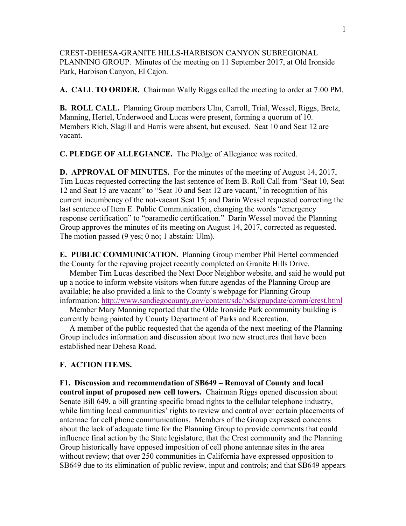CREST-DEHESA-GRANITE HILLS-HARBISON CANYON SUBREGIONAL PLANNING GROUP. Minutes of the meeting on 11 September 2017, at Old Ironside Park, Harbison Canyon, El Cajon.

**A. CALL TO ORDER.** Chairman Wally Riggs called the meeting to order at 7:00 PM.

**B. ROLL CALL.** Planning Group members Ulm, Carroll, Trial, Wessel, Riggs, Bretz, Manning, Hertel, Underwood and Lucas were present, forming a quorum of 10. Members Rich, Slagill and Harris were absent, but excused. Seat 10 and Seat 12 are vacant.

**C. PLEDGE OF ALLEGIANCE.** The Pledge of Allegiance was recited.

**D. APPROVAL OF MINUTES.** For the minutes of the meeting of August 14, 2017, Tim Lucas requested correcting the last sentence of Item B. Roll Call from "Seat 10, Seat 12 and Seat 15 are vacant" to "Seat 10 and Seat 12 are vacant," in recognition of his current incumbency of the not-vacant Seat 15; and Darin Wessel requested correcting the last sentence of Item E. Public Communication, changing the words "emergency response certification" to "paramedic certification." Darin Wessel moved the Planning Group approves the minutes of its meeting on August 14, 2017, corrected as requested. The motion passed (9 yes; 0 no; 1 abstain: Ulm).

**E. PUBLIC COMMUNICATION.** Planning Group member Phil Hertel commended the County for the repaving project recently completed on Granite Hills Drive.

 Member Tim Lucas described the Next Door Neighbor website, and said he would put up a notice to inform website visitors when future agendas of the Planning Group are available; he also provided a link to the County's webpage for Planning Group information: http://www.sandiegocounty.gov/content/sdc/pds/gpupdate/comm/crest.html

 Member Mary Manning reported that the Olde Ironside Park community building is currently being painted by County Department of Parks and Recreation.

 A member of the public requested that the agenda of the next meeting of the Planning Group includes information and discussion about two new structures that have been established near Dehesa Road.

## **F. ACTION ITEMS.**

**F1. Discussion and recommendation of SB649 – Removal of County and local control input of proposed new cell towers.** Chairman Riggs opened discussion about Senate Bill 649, a bill granting specific broad rights to the cellular telephone industry, while limiting local communities' rights to review and control over certain placements of antennae for cell phone communications. Members of the Group expressed concerns about the lack of adequate time for the Planning Group to provide comments that could influence final action by the State legislature; that the Crest community and the Planning Group historically have opposed imposition of cell phone antennae sites in the area without review; that over 250 communities in California have expressed opposition to SB649 due to its elimination of public review, input and controls; and that SB649 appears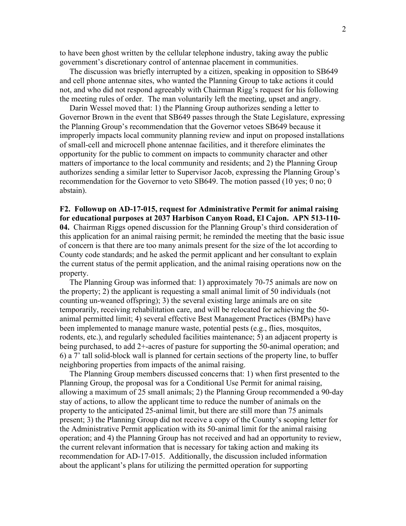to have been ghost written by the cellular telephone industry, taking away the public government's discretionary control of antennae placement in communities.

 The discussion was briefly interrupted by a citizen, speaking in opposition to SB649 and cell phone antennae sites, who wanted the Planning Group to take actions it could not, and who did not respond agreeably with Chairman Rigg's request for his following the meeting rules of order. The man voluntarily left the meeting, upset and angry.

 Darin Wessel moved that: 1) the Planning Group authorizes sending a letter to Governor Brown in the event that SB649 passes through the State Legislature, expressing the Planning Group's recommendation that the Governor vetoes SB649 because it improperly impacts local community planning review and input on proposed installations of small-cell and microcell phone antennae facilities, and it therefore eliminates the opportunity for the public to comment on impacts to community character and other matters of importance to the local community and residents; and 2) the Planning Group authorizes sending a similar letter to Supervisor Jacob, expressing the Planning Group's recommendation for the Governor to veto SB649. The motion passed (10 yes; 0 no; 0 abstain).

**F2. Followup on AD-17-015, request for Administrative Permit for animal raising for educational purposes at 2037 Harbison Canyon Road, El Cajon. APN 513-110- 04.** Chairman Riggs opened discussion for the Planning Group's third consideration of this application for an animal raising permit; he reminded the meeting that the basic issue of concern is that there are too many animals present for the size of the lot according to County code standards; and he asked the permit applicant and her consultant to explain the current status of the permit application, and the animal raising operations now on the property.

 The Planning Group was informed that: 1) approximately 70-75 animals are now on the property; 2) the applicant is requesting a small animal limit of 50 individuals (not counting un-weaned offspring); 3) the several existing large animals are on site temporarily, receiving rehabilitation care, and will be relocated for achieving the 50 animal permitted limit; 4) several effective Best Management Practices (BMPs) have been implemented to manage manure waste, potential pests (e.g., flies, mosquitos, rodents, etc.), and regularly scheduled facilities maintenance; 5) an adjacent property is being purchased, to add 2+-acres of pasture for supporting the 50-animal operation; and 6) a 7' tall solid-block wall is planned for certain sections of the property line, to buffer neighboring properties from impacts of the animal raising.

 The Planning Group members discussed concerns that: 1) when first presented to the Planning Group, the proposal was for a Conditional Use Permit for animal raising, allowing a maximum of 25 small animals; 2) the Planning Group recommended a 90-day stay of actions, to allow the applicant time to reduce the number of animals on the property to the anticipated 25-animal limit, but there are still more than 75 animals present; 3) the Planning Group did not receive a copy of the County's scoping letter for the Administrative Permit application with its 50-animal limit for the animal raising operation; and 4) the Planning Group has not received and had an opportunity to review, the current relevant information that is necessary for taking action and making its recommendation for AD-17-015. Additionally, the discussion included information about the applicant's plans for utilizing the permitted operation for supporting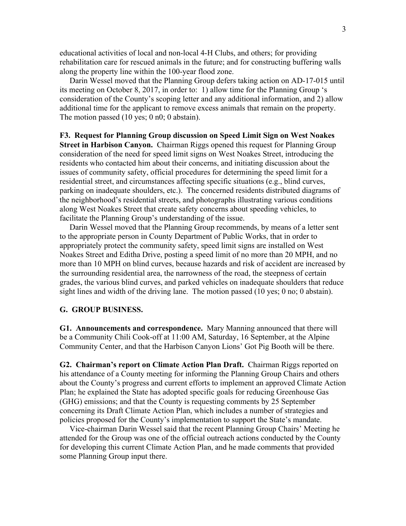educational activities of local and non-local 4-H Clubs, and others; for providing rehabilitation care for rescued animals in the future; and for constructing buffering walls along the property line within the 100-year flood zone.

 Darin Wessel moved that the Planning Group defers taking action on AD-17-015 until its meeting on October 8, 2017, in order to: 1) allow time for the Planning Group 's consideration of the County's scoping letter and any additional information, and 2) allow additional time for the applicant to remove excess animals that remain on the property. The motion passed (10 yes; 0 n0; 0 abstain).

**F3. Request for Planning Group discussion on Speed Limit Sign on West Noakes Street in Harbison Canyon.** Chairman Riggs opened this request for Planning Group consideration of the need for speed limit signs on West Noakes Street, introducing the residents who contacted him about their concerns, and initiating discussion about the issues of community safety, official procedures for determining the speed limit for a residential street, and circumstances affecting specific situations (e.g., blind curves, parking on inadequate shoulders, etc.). The concerned residents distributed diagrams of the neighborhood's residential streets, and photographs illustrating various conditions along West Noakes Street that create safety concerns about speeding vehicles, to facilitate the Planning Group's understanding of the issue.

 Darin Wessel moved that the Planning Group recommends, by means of a letter sent to the appropriate person in County Department of Public Works, that in order to appropriately protect the community safety, speed limit signs are installed on West Noakes Street and Editha Drive, posting a speed limit of no more than 20 MPH, and no more than 10 MPH on blind curves, because hazards and risk of accident are increased by the surrounding residential area, the narrowness of the road, the steepness of certain grades, the various blind curves, and parked vehicles on inadequate shoulders that reduce sight lines and width of the driving lane. The motion passed (10 yes; 0 no; 0 abstain).

## **G. GROUP BUSINESS.**

**G1. Announcements and correspondence.** Mary Manning announced that there will be a Community Chili Cook-off at 11:00 AM, Saturday, 16 September, at the Alpine Community Center, and that the Harbison Canyon Lions' Got Pig Booth will be there.

**G2. Chairman's report on Climate Action Plan Draft.** Chairman Riggs reported on his attendance of a County meeting for informing the Planning Group Chairs and others about the County's progress and current efforts to implement an approved Climate Action Plan; he explained the State has adopted specific goals for reducing Greenhouse Gas (GHG) emissions; and that the County is requesting comments by 25 September concerning its Draft Climate Action Plan, which includes a number of strategies and policies proposed for the County's implementation to support the State's mandate.

 Vice-chairman Darin Wessel said that the recent Planning Group Chairs' Meeting he attended for the Group was one of the official outreach actions conducted by the County for developing this current Climate Action Plan, and he made comments that provided some Planning Group input there.